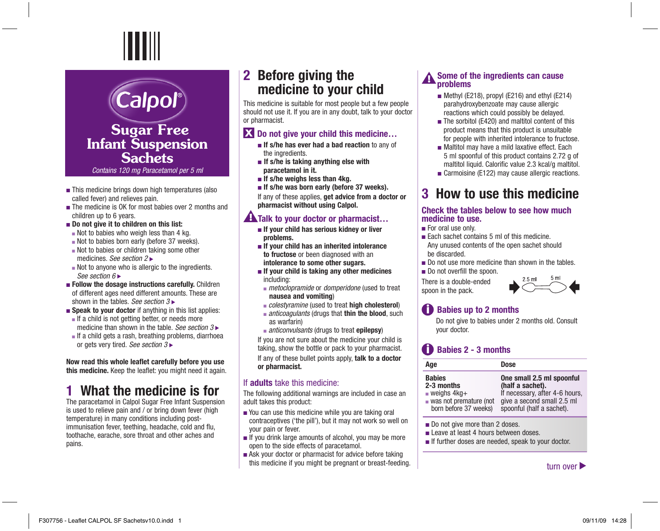## **Sugar Free Infant Suspension Sachets**

Calpol®

*Contains 120 mg Paracetamol per 5 ml*

- This medicine brings down high temperatures (also called fever) and relieves pain.
- ■The medicine is OK for most babies over 2 months and children up to 6 years.
- ■ **Do not give it to children on this list:**
- $\blacksquare$  Not to babies who weigh less than 4 kg.
- Not to babies born early (before 37 weeks).
- Not to babies or children taking some other medicines. *See section 2*
- Not to anyone who is allergic to the ingredients. *See section 6*
- ■ **Follow the dosage instructions carefully.** Children of different ages need different amounts. These are shown in the tables. *See section 3*
- **Speak to your doctor** if anything in this list applies:
- If a child is not getting better, or needs more medicine than shown in the table. *See section 3*
- If a child gets a rash, breathing problems, diarrhoea or gets very tired. *See section 3*

**Now read this whole leaflet carefully before you use this medicine.** Keep the leaflet: you might need it again.

# **1 What the medicine is for**

The paracetamol in Calpol Sugar Free Infant Suspension is used to relieve pain and / or bring down fever (high temperature) in many conditions including postimmunisation fever, teething, headache, cold and flu, toothache, earache, sore throat and other aches and pains.

## **2 Before giving the medicine to your child**

This medicine is suitable for most people but a few people should not use it. If you are in any doubt, talk to your doctor or pharmacist.

#### $\mathbf{\Sigma}$  Do not give your child this medicine...

- **If s/he has ever had a bad reaction** to any of the ingredients.
- **If s/he is taking anything else with paracetamol in it.**
- ■ **If s/he weighs less than 4kg.**
- ■ **If s/he was born early (before 37 weeks).**

If any of these applies, **get advice from a doctor or pharmacist without using Calpol.** 

### **A**Talk to your doctor or pharmacist...

- **If your child has serious kidney or liver problems.**
- **If your child has an inherited intolerance to fructose** or been diagnosed with an  **intolerance to some other sugars.**
- **If your child is taking any other medicines** including:
- *metoclopramide* or *domperidone* (used to treat **nausea and vomiting**)
- *colestyramine* (used to treat **high cholesterol**)
- *anticoagulants* (drugs that **thin the blood**, such as warfarin)
- *anticonvulsants* (drugs to treat **epilepsy**)

If you are not sure about the medicine your child is taking, show the bottle or pack to your pharmacist. If any of these bullet points apply, **talk to a doctor or pharmacist.** 

#### If **adults** take this medicine:

The following additional warnings are included in case an adult takes this product:

- You can use this medicine while you are taking oral contraceptives ('the pill'), but it may not work so well on your pain or fever.
- If you drink large amounts of alcohol, you may be more open to the side effects of paracetamol.
- Ask your doctor or pharmacist for advice before taking this medicine if you might be pregnant or breast-feeding.  $t$  and  $t$  are  $t$  and  $t$  are  $t$  are  $t$  are  $t$  are  $t$  are  $t$  are  $t$  are  $t$  are  $t$  are  $t$  are  $t$  are  $t$  are  $t$  are  $t$  are  $t$  are  $t$  are  $t$  are  $t$

#### **Some of the ingredients can cause problems**

- Methyl (E218), propyl (E216) and ethyl (E214) parahydroxybenzoate may cause allergic reactions which could possibly be delayed.
- The sorbitol (E420) and maltitol content of this product means that this product is unsuitable for people with inherited intolerance to fructose.
- Maltitol may have a mild laxative effect. Each 5 ml spoonful of this product contains 2.72 g of maltitol liquid. Calorific value 2.3 kcal/g maltitol.
- Carmoisine (E122) may cause allergic reactions.

# **3 How to use this medicine**

#### **Check the tables below to see how much medicine to use.**

- For oral use only.
- Each sachet contains 5 ml of this medicine. Any unused contents of the open sachet should be discarded.
- Do not use more medicine than shown in the tables.
- Do not overfill the spoon.

There is a double-ended spoon in the pack.



### **CD** Babies up to 2 months

Do not give to babies under 2 months old. Consult your doctor.

### **Babies 2 - 3 months**

| Age                                                                                                                           | <b>Dose</b>                                                                                                                                |
|-------------------------------------------------------------------------------------------------------------------------------|--------------------------------------------------------------------------------------------------------------------------------------------|
| <b>Babies</b><br>2-3 months<br>$\blacksquare$ weighs $4kq+$<br>$\blacksquare$ was not premature (not<br>born before 37 weeks) | One small 2.5 ml spoonful<br>(half a sachet).<br>If necessary, after 4-6 hours,<br>give a second small 2.5 ml<br>spoonful (half a sachet). |
|                                                                                                                               |                                                                                                                                            |

- Do not give more than 2 doses.
- Leave at least 4 hours between doses.
- If further doses are needed, speak to your doctor.